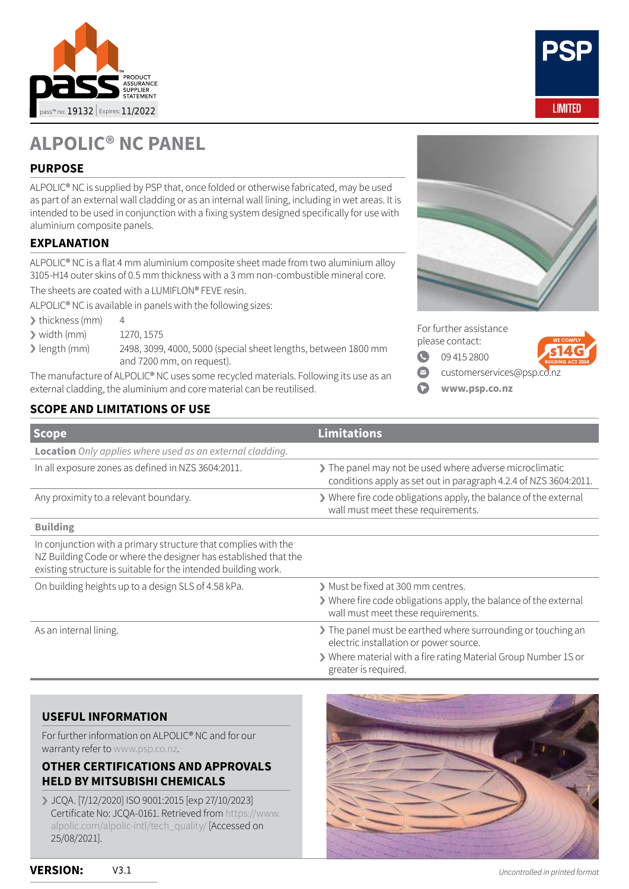



# **ALPOLIC® NC PANEL**

# **PURPOSE**

ALPOLIC® NC is supplied by PSP that, once folded or otherwise fabricated, may be used as part of an external wall cladding or as an internal wall lining, including in wet areas. It is intended to be used in conjunction with a fixing system designed specifically for use with aluminium composite panels.

## **EXPLANATION**

ALPOLIC® NC is a flat 4 mm aluminium composite sheet made from two aluminium alloy 3105-H14 outer skins of 0.5 mm thickness with a 3 mm non-combustible mineral core.

The sheets are coated with a LUMIFLON® FEVE resin.

ALPOLIC® NC is available in panels with the following sizes:

 $\blacktriangleright$  thickness (mm) 4

- › width (mm) 1270, 1575
- › length (mm) 2498, 3099, 4000, 5000 (special sheet lengths, between 1800 mm and 7200 mm, on request).

The manufacture of ALPOLIC® NC uses some recycled materials. Following its use as an external cladding, the aluminium and core material can be reutilised.

# **SCOPE AND LIMITATIONS OF USE**



For further assistance

please contact:

 $\bullet$ [09 415 2800](tel://+6494152800)

- 
- $\bullet$ [customerservices@psp](mailto:customerservices%40psp.co.nz?subject=Enquiry%20aboout%20Alpolic%20FR%20panel)[.co.nz](http://www.legislation.govt.nz/act/public/2004/0072/latest/DLM5766663.html)
- $\Omega$ **[www.psp.co.nz](mailto:www.psp.co.nz?subject=)**

| <b>Scope</b>                                                                                                                                                                                        | <b>Limitations</b>                                                                                                        |
|-----------------------------------------------------------------------------------------------------------------------------------------------------------------------------------------------------|---------------------------------------------------------------------------------------------------------------------------|
| <b>Location</b> Only applies where used as an external cladding.                                                                                                                                    |                                                                                                                           |
| In all exposure zones as defined in NZS 3604:2011.                                                                                                                                                  | The panel may not be used where adverse microclimatic<br>conditions apply as set out in paragraph 4.2.4 of NZS 3604:2011. |
| Any proximity to a relevant boundary.                                                                                                                                                               | > Where fire code obligations apply, the balance of the external<br>wall must meet these requirements.                    |
| <b>Building</b>                                                                                                                                                                                     |                                                                                                                           |
| In conjunction with a primary structure that complies with the<br>NZ Building Code or where the designer has established that the<br>existing structure is suitable for the intended building work. |                                                                                                                           |
| On building heights up to a design SLS of 4.58 kPa.                                                                                                                                                 | > Must be fixed at 300 mm centres.                                                                                        |
|                                                                                                                                                                                                     | ▶ Where fire code obligations apply, the balance of the external<br>wall must meet these requirements.                    |
| As an internal lining.                                                                                                                                                                              | The panel must be earthed where surrounding or touching an<br>electric installation or power source.                      |
|                                                                                                                                                                                                     | > Where material with a fire rating Material Group Number 1S or<br>greater is required.                                   |

#### **USEFUL INFORMATION**

For further information on ALPOLIC® NC and for our warranty refer to [www.psp.co.nz.](http://www.psp.co.nz)

## **OTHER CERTIFICATIONS AND APPROVALS HELD BY MITSUBISHI CHEMICALS**

› JCQA. [7/12/2020] ISO 9001:2015 [exp 27/10/2023] Certificate No: JCQA-0161. Retrieved from [https://www.](https://www.alpolic.com/alpolic-intl/tech_quality/) [alpolic.com/alpolic-intl/tech\\_quality/](https://www.alpolic.com/alpolic-intl/tech_quality/) [Accessed on 25/08/2021].